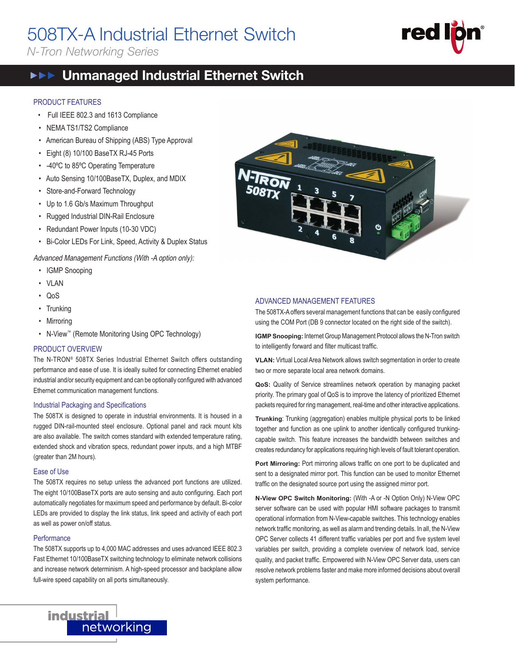# 508TX-A Industrial Ethernet Switch

*N-Tron Networking Series*



# **THE** Unmanaged Industrial Ethernet Switch

#### PRODUCT FEATURES

- Full IEEE 802.3 and 1613 Compliance
- NEMA TS1/TS2 Compliance
- American Bureau of Shipping (ABS) Type Approval
- Eight (8) 10/100 BaseTX RJ-45 Ports
- -40ºC to 85ºC Operating Temperature
- Auto Sensing 10/100BaseTX, Duplex, and MDIX
- Store-and-Forward Technology
- Up to 1.6 Gb/s Maximum Throughput
- Rugged Industrial DIN-Rail Enclosure
- Redundant Power Inputs (10-30 VDC)
- Bi-Color LEDs For Link, Speed, Activity & Duplex Status

Advanced Management Functions (With -A option only):

- IGMP Snooping
- VLAN
- QoS
- Trunking
- Mirroring
- N-View™ (Remote Monitoring Using OPC Technology)

#### PRODUCT OVERVIEW

The N-TRON® 508TX Series Industrial Ethernet Switch offers outstanding performance and ease of use. It is ideally suited for connecting Ethernet enabled industrial and/or security equipment and can be optionally configured with advanced Ethernet communication management functions.

#### Industrial Packaging and Specifications

The 508TX is designed to operate in industrial environments. It is housed in a rugged DIN-rail-mounted steel enclosure. Optional panel and rack mount kits are also available. The switch comes standard with extended temperature rating, extended shock and vibration specs, redundant power inputs, and a high MTBF (greater than 2M hours).

#### Ease of Use

The 508TX requires no setup unless the advanced port functions are utilized. The eight 10/100BaseTX ports are auto sensing and auto configuring. Each port automatically negotiates for maximum speed and performance by default. Bi-color LEDs are provided to display the link status, link speed and activity of each port as well as power on/off status.

#### **Performance**

The 508TX supports up to 4,000 MAC addresses and uses advanced IEEE 802.3 Fast Ethernet 10/100BaseTX switching technology to eliminate network collisions and increase network determinism. A high-speed processor and backplane allow full-wire speed capability on all ports simultaneously.



#### ADVANCED MANAGEMENT FEATURES

The 508TX-A offers several management functions that can be easily configured using the COM Port (DB 9 connector located on the right side of the switch).

**IGMP Snooping:** Internet Group Management Protocol allows the N-Tron switch to intelligently forward and filter multicast traffic.

**VLAN:** Virtual Local Area Network allows switch segmentation in order to create two or more separate local area network domains.

**QoS:** Quality of Service streamlines network operation by managing packet priority. The primary goal of QoS is to improve the latency of prioritized Ethernet packets required for ring management, real-time and other interactive applications.

**Trunking**: Trunking (aggregation) enables multiple physical ports to be linked together and function as one uplink to another identically configured trunkingcapable switch. This feature increases the bandwidth between switches and creates redundancy for applications requiring high levels of fault tolerant operation.

**Port Mirroring:** Port mirroring allows traffic on one port to be duplicated and sent to a designated mirror port. This function can be used to monitor Ethernet traffic on the designated source port using the assigned mirror port.

**N-View OPC Switch Monitoring:** (With -A or -N Option Only) N-View OPC server software can be used with popular HMI software packages to transmit operational information from N-View-capable switches. This technology enables network traffic monitoring, as well as alarm and trending details. In all, the N-View OPC Server collects 41 different traffic variables per port and five system level variables per switch, providing a complete overview of network load, service quality, and packet traffic. Empowered with N-View OPC Server data, users can resolve network problems faster and make more informed decisions about overall system performance.

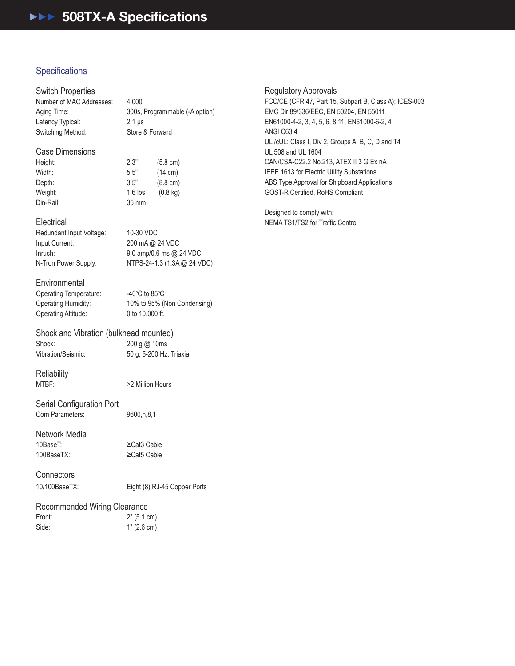## Specifications

#### Switch Properties

Number of MAC Addresses: 4,000 Latency Typical: 2.1 μs Switching Method: Store & Forward

Aging Time: 300s, Programmable (-A option)

#### Case Dimensions

| Height:   | 2.3"      | $(5.8 \text{ cm})$ |
|-----------|-----------|--------------------|
| Width:    | 5.5"      | $(14 \text{ cm})$  |
| Depth:    | 3.5"      | $(8.8 \text{ cm})$ |
| Weight:   | $1.6$ lbs | $(0.8 \text{ kg})$ |
| Din-Rail: | 35 mm     |                    |

#### **Electrical**

Redundant Input Voltage: 10-30 VDC Input Current: 200 mA @ 24 VDC

Inrush: 9.0 amp/0.6 ms @ 24 VDC N-Tron Power Supply: NTPS-24-1.3 (1.3A @ 24 VDC)

#### **Environmental**

Operating Temperature: Operating Altitude: 0 to 10,000 ft.

C to 85 $\mathrm{^{\circ}C}$ Operating Humidity: 10% to 95% (Non Condensing)

#### Shock and Vibration (bulkhead mounted) Shock: 200 g @ 10ms Vibration/Seismic: 50 g, 5-200 Hz, Triaxial

**Reliability** 

MTBF:  $>2$  Million Hours

Serial Configuration Port Com Parameters: 9600,n,8,1

Network Media 10BaseT: ≥Cat3 Cable

100BaseTX: ≥Cat5 Cable

## **Connectors**

10/100BaseTX: Eight (8) RJ-45 Copper Ports

#### Recommended Wiring Clearance

| Front: | 2" (5.1 cm) |
|--------|-------------|
| Side:  | 1" (2.6 cm) |

Regulatory Approvals

FCC/CE (CFR 47, Part 15, Subpart B, Class A); ICES-003 EMC Dir 89/336/EEC, EN 50204, EN 55011 EN61000-4-2, 3, 4, 5, 6, 8,11, EN61000-6-2, 4 ANSI C63.4 UL /cUL: Class I, Div 2, Groups A, B, C, D and T4 UL 508 and UL 1604 CAN/CSA-C22.2 No.213, ATEX II 3 G Ex nA IEEE 1613 for Electric Utility Substations ABS Type Approval for Shipboard Applications GOST-R Certified, RoHS Compliant

Designed to comply with: NEMA TS1/TS2 for Traffic Control